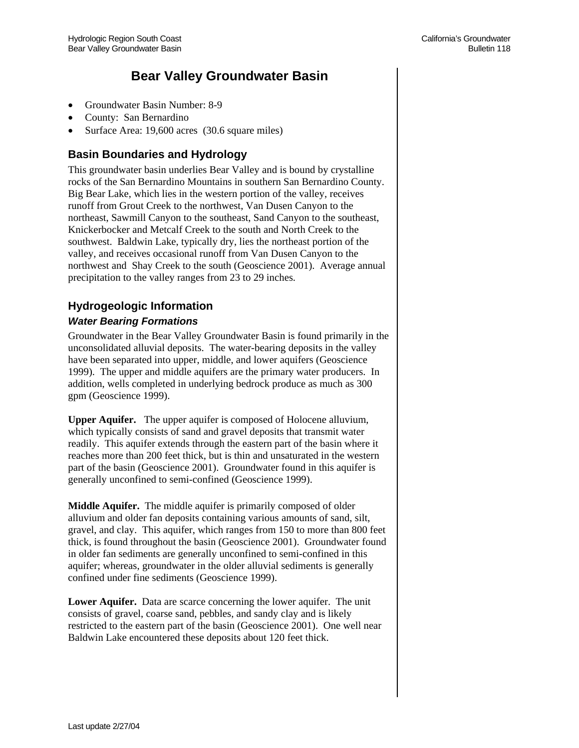# **Bear Valley Groundwater Basin**

- Groundwater Basin Number: 8-9
- County: San Bernardino
- Surface Area: 19,600 acres (30.6 square miles)

# **Basin Boundaries and Hydrology**

This groundwater basin underlies Bear Valley and is bound by crystalline rocks of the San Bernardino Mountains in southern San Bernardino County. Big Bear Lake, which lies in the western portion of the valley, receives runoff from Grout Creek to the northwest, Van Dusen Canyon to the northeast, Sawmill Canyon to the southeast, Sand Canyon to the southeast, Knickerbocker and Metcalf Creek to the south and North Creek to the southwest. Baldwin Lake, typically dry, lies the northeast portion of the valley, and receives occasional runoff from Van Dusen Canyon to the northwest and Shay Creek to the south (Geoscience 2001). Average annual precipitation to the valley ranges from 23 to 29 inches.

# **Hydrogeologic Information**

# *Water Bearing Formations*

Groundwater in the Bear Valley Groundwater Basin is found primarily in the unconsolidated alluvial deposits. The water-bearing deposits in the valley have been separated into upper, middle, and lower aquifers (Geoscience 1999). The upper and middle aquifers are the primary water producers. In addition, wells completed in underlying bedrock produce as much as 300 gpm (Geoscience 1999).

**Upper Aquifer.** The upper aquifer is composed of Holocene alluvium, which typically consists of sand and gravel deposits that transmit water readily. This aquifer extends through the eastern part of the basin where it reaches more than 200 feet thick, but is thin and unsaturated in the western part of the basin (Geoscience 2001). Groundwater found in this aquifer is generally unconfined to semi-confined (Geoscience 1999).

**Middle Aquifer.** The middle aquifer is primarily composed of older alluvium and older fan deposits containing various amounts of sand, silt, gravel, and clay. This aquifer, which ranges from 150 to more than 800 feet thick, is found throughout the basin (Geoscience 2001). Groundwater found in older fan sediments are generally unconfined to semi-confined in this aquifer; whereas, groundwater in the older alluvial sediments is generally confined under fine sediments (Geoscience 1999).

**Lower Aquifer.** Data are scarce concerning the lower aquifer. The unit consists of gravel, coarse sand, pebbles, and sandy clay and is likely restricted to the eastern part of the basin (Geoscience 2001). One well near Baldwin Lake encountered these deposits about 120 feet thick.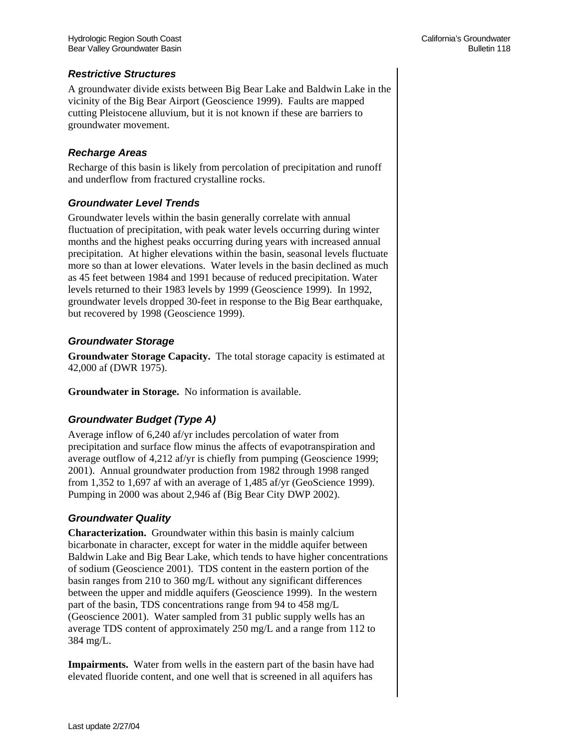#### *Restrictive Structures*

A groundwater divide exists between Big Bear Lake and Baldwin Lake in the vicinity of the Big Bear Airport (Geoscience 1999). Faults are mapped cutting Pleistocene alluvium, but it is not known if these are barriers to groundwater movement.

#### *Recharge Areas*

Recharge of this basin is likely from percolation of precipitation and runoff and underflow from fractured crystalline rocks.

#### *Groundwater Level Trends*

Groundwater levels within the basin generally correlate with annual fluctuation of precipitation, with peak water levels occurring during winter months and the highest peaks occurring during years with increased annual precipitation. At higher elevations within the basin, seasonal levels fluctuate more so than at lower elevations. Water levels in the basin declined as much as 45 feet between 1984 and 1991 because of reduced precipitation. Water levels returned to their 1983 levels by 1999 (Geoscience 1999). In 1992, groundwater levels dropped 30-feet in response to the Big Bear earthquake, but recovered by 1998 (Geoscience 1999).

#### *Groundwater Storage*

**Groundwater Storage Capacity.** The total storage capacity is estimated at 42,000 af (DWR 1975).

**Groundwater in Storage.** No information is available.

# *Groundwater Budget (Type A)*

Average inflow of 6,240 af/yr includes percolation of water from precipitation and surface flow minus the affects of evapotranspiration and average outflow of 4,212 af/yr is chiefly from pumping (Geoscience 1999; 2001). Annual groundwater production from 1982 through 1998 ranged from 1,352 to 1,697 af with an average of 1,485 af/yr (GeoScience 1999). Pumping in 2000 was about 2,946 af (Big Bear City DWP 2002).

#### *Groundwater Quality*

**Characterization.** Groundwater within this basin is mainly calcium bicarbonate in character, except for water in the middle aquifer between Baldwin Lake and Big Bear Lake, which tends to have higher concentrations of sodium (Geoscience 2001). TDS content in the eastern portion of the basin ranges from 210 to 360 mg/L without any significant differences between the upper and middle aquifers (Geoscience 1999). In the western part of the basin, TDS concentrations range from 94 to 458 mg/L (Geoscience 2001). Water sampled from 31 public supply wells has an average TDS content of approximately 250 mg/L and a range from 112 to 384 mg/L.

**Impairments.** Water from wells in the eastern part of the basin have had elevated fluoride content, and one well that is screened in all aquifers has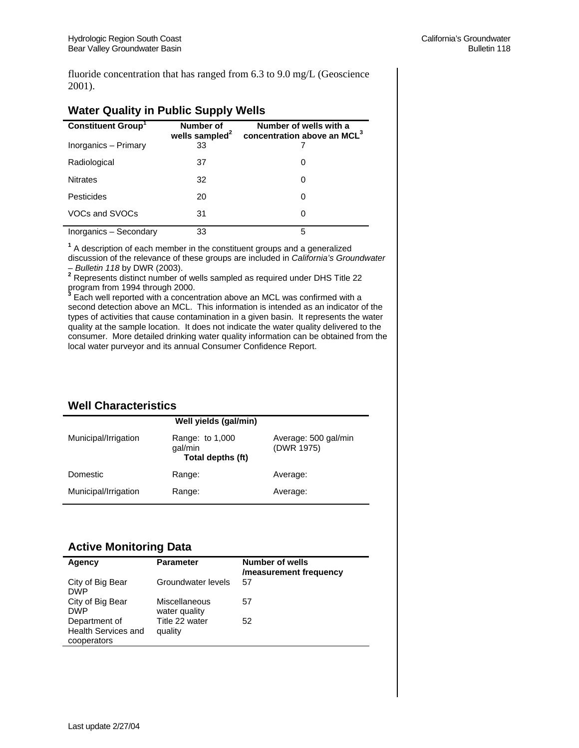fluoride concentration that has ranged from 6.3 to 9.0 mg/L (Geoscience 2001).

| .                        |                                         |                                                                   |  |  |
|--------------------------|-----------------------------------------|-------------------------------------------------------------------|--|--|
| <b>Constituent Group</b> | Number of<br>wells sampled <sup>2</sup> | Number of wells with a<br>concentration above an MCL <sup>3</sup> |  |  |
| Inorganics - Primary     | 33                                      |                                                                   |  |  |
| Radiological             | 37                                      | 0                                                                 |  |  |
| <b>Nitrates</b>          | 32                                      | O                                                                 |  |  |
| Pesticides               | 20                                      | 0                                                                 |  |  |
| VOCs and SVOCs           | 31                                      |                                                                   |  |  |
| Inorganics - Secondary   | 33                                      | 5                                                                 |  |  |

# **Water Quality in Public Supply Wells**

**1** A description of each member in the constituent groups and a generalized discussion of the relevance of these groups are included in *California's Groundwater* 

*– Bulletin 118* by DWR (2003). **<sup>2</sup>** Represents distinct number of wells sampled as required under DHS Title 22

program from 1994 through 2000. **3** Each well reported with a concentration above an MCL was confirmed with a second detection above an MCL. This information is intended as an indicator of the types of activities that cause contamination in a given basin. It represents the water quality at the sample location. It does not indicate the water quality delivered to the consumer. More detailed drinking water quality information can be obtained from the local water purveyor and its annual Consumer Confidence Report.

# **Well Characteristics**

| Well yields (gal/min) |                                                 |                                    |  |  |
|-----------------------|-------------------------------------------------|------------------------------------|--|--|
| Municipal/Irrigation  | Range: to 1,000<br>qal/min<br>Total depths (ft) | Average: 500 gal/min<br>(DWR 1975) |  |  |
| Domestic              | Range:                                          | Average:                           |  |  |
| Municipal/Irrigation  | Range:                                          | Average:                           |  |  |

# **Active Monitoring Data**

| Agency                                                     | <b>Parameter</b>               | <b>Number of wells</b><br>/measurement frequency |
|------------------------------------------------------------|--------------------------------|--------------------------------------------------|
| City of Big Bear<br><b>DWP</b>                             | Groundwater levels             | 57                                               |
| City of Big Bear<br><b>DWP</b>                             | Miscellaneous<br>water quality | 57                                               |
| Department of<br><b>Health Services and</b><br>cooperators | Title 22 water<br>quality      | 52                                               |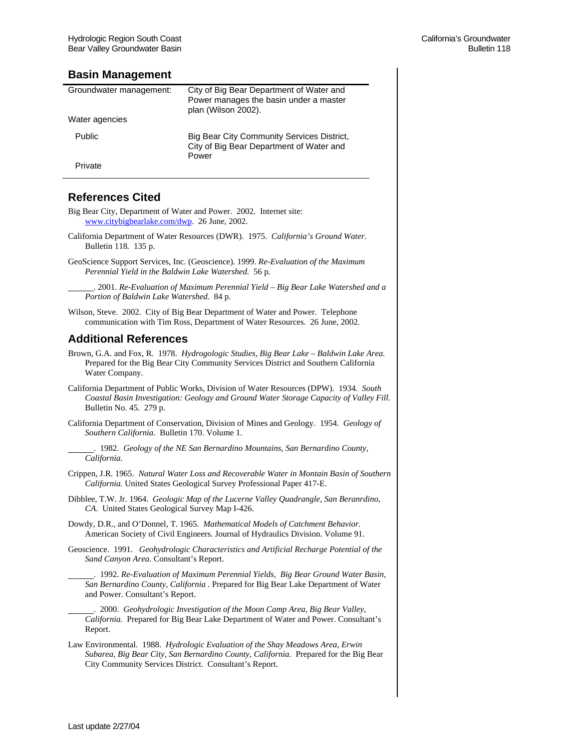#### **Basin Management**

| Groundwater management: | City of Big Bear Department of Water and<br>Power manages the basin under a master<br>plan (Wilson 2002). |
|-------------------------|-----------------------------------------------------------------------------------------------------------|
| Water agencies          |                                                                                                           |
| Public                  | Big Bear City Community Services District,<br>City of Big Bear Department of Water and<br>Power           |
| Private                 |                                                                                                           |

# **References Cited**

- Big Bear City, Department of Water and Power. 2002. Internet site: www.citybigbearlake.com/dwp. 26 June, 2002.
- California Department of Water Resources (DWR). 1975. *California's Ground Water.*  Bulletin 118*.* 135 p.
- GeoScience Support Services, Inc. (Geoscience). 1999. *Re-Evaluation of the Maximum Perennial Yield in the Baldwin Lake Watershed.* 56 p*.*

 . 2001. *Re-Evaluation of Maximum Perennial Yield* – *Big Bear Lake Watershed and a Portion of Baldwin Lake Watershed.* 84 p*.* 

Wilson, Steve. 2002. City of Big Bear Department of Water and Power. Telephone communication with Tim Ross, Department of Water Resources. 26 June, 2002.

# **Additional References**

- Brown, G.A. and Fox, R. 1978. *Hydrogologic Studies, Big Bear Lake Baldwin Lake Area.* Prepared for the Big Bear City Community Services District and Southern California Water Company.
- California Department of Public Works, Division of Water Resources (DPW). 1934*. South Coastal Basin Investigation: Geology and Ground Water Storage Capacity of Valley Fill.* Bulletin No. 45. 279 p.
- California Department of Conservation, Division of Mines and Geology. 1954. *Geology of Southern California.* Bulletin 170. Volume 1.
	- . 1982. *Geology of the NE San Bernardino Mountains, San Bernardino County, California.*
- Crippen, J.R. 1965. *Natural Water Loss and Recoverable Water in Montain Basin of Southern California.* United States Geological Survey Professional Paper 417-E.
- Dibblee, T.W. Jr. 1964. *Geologic Map of the Lucerne Valley Quadrangle, San Beranrdino, CA*. United States Geological Survey Map I-426.
- Dowdy, D.R., and O'Donnel, T. 1965. *Mathematical Models of Catchment Behavior.* American Society of Civil Engineers. Journal of Hydraulics Division. Volume 91.
- Geoscience. 1991. *Geohydrologic Characteristics and Artificial Recharge Potential of the Sand Canyon Area.* Consultant's Report.
	- . 1992. *Re-Evaluation of Maximum Perennial Yields, Big Bear Ground Water Basin, San Bernardino County, California .* Prepared for Big Bear Lake Department of Water and Power. Consultant's Report.
- . 2000. *Geohydrologic Investigation of the Moon Camp Area, Big Bear Valley, California.* Prepared for Big Bear Lake Department of Water and Power. Consultant's Report.
- Law Environmental. 1988. *Hydrologic Evaluation of the Shay Meadows Area, Erwin Subarea, Big Bear City, San Bernardino County, California.* Prepared for the Big Bear City Community Services District. Consultant's Report.